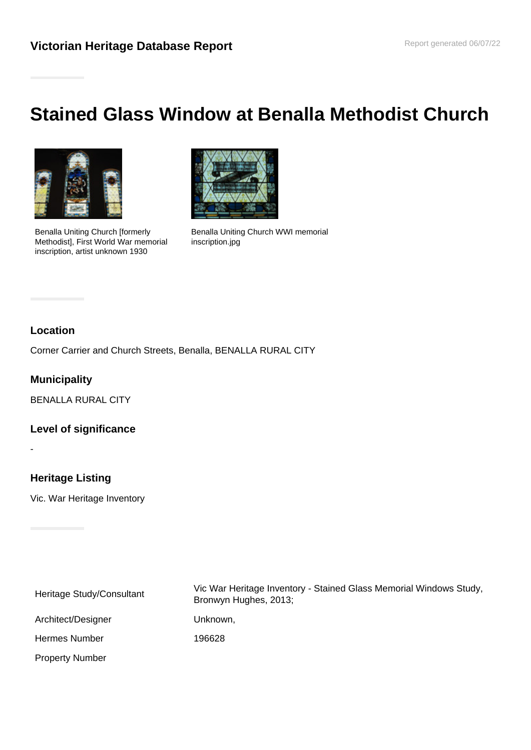# **Stained Glass Window at Benalla Methodist Church**



Benalla Uniting Church [formerly Methodist], First World War memorial inscription, artist unknown 1930



Benalla Uniting Church WWI memorial inscription.jpg

## **Location**

Corner Carrier and Church Streets, Benalla, BENALLA RURAL CITY

### **Municipality**

BENALLA RURAL CITY

#### **Level of significance**

-

# **Heritage Listing**

Vic. War Heritage Inventory

Heritage Study/Consultant Vic War Heritage Inventory - Stained Glass Memorial Windows Study, Bronwyn Hughes, 2013; Architect/Designer Unknown, Hermes Number 196628 Property Number